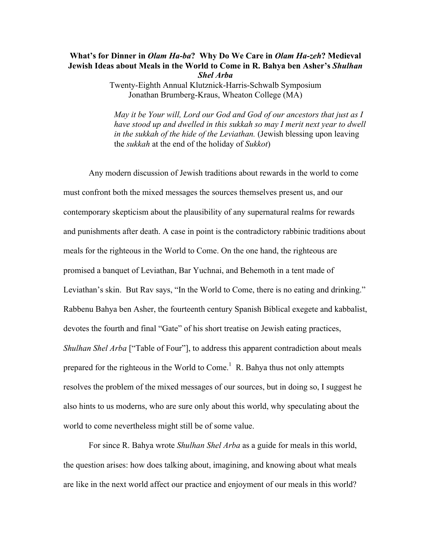### **What's for Dinner in** *Olam Ha-ba***? Why Do We Care in** *Olam Ha-zeh***? Medieval Jewish Ideas about Meals in the World to Come in R. Bahya ben Asher's** *Shulhan Shel Arba*

Twenty-Eighth Annual Klutznick-Harris-Schwalb Symposium Jonathan Brumberg-Kraus, Wheaton College (MA)

*May it be Your will, Lord our God and God of our ancestors that just as I have stood up and dwelled in this sukkah so may I merit next year to dwell in the sukkah of the hide of the Leviathan.* (Jewish blessing upon leaving the *sukkah* at the end of the holiday of *Sukkot*)

Any modern discussion of Jewish traditions about rewards in the world to come must confront both the mixed messages the sources themselves present us, and our contemporary skepticism about the plausibility of any supernatural realms for rewards and punishments after death. A case in point is the contradictory rabbinic traditions about meals for the righteous in the World to Come. On the one hand, the righteous are promised a banquet of Leviathan, Bar Yuchnai, and Behemoth in a tent made of Leviathan's skin. But Rav says, "In the World to Come, there is no eating and drinking." Rabbenu Bahya ben Asher, the fourteenth century Spanish Biblical exegete and kabbalist, devotes the fourth and final "Gate" of his short treatise on Jewish eating practices, *Shulhan Shel Arba* ["Table of Four"], to address this apparent contradiction about meals prepared for the righteous in the World to Come.<sup>1</sup> R. Bahya thus not only attempts resolves the problem of the mixed messages of our sources, but in doing so, I suggest he also hints to us moderns, who are sure only about this world, why speculating about the world to come nevertheless might still be of some value.

For since R. Bahya wrote *Shulhan Shel Arba* as a guide for meals in this world, the question arises: how does talking about, imagining, and knowing about what meals are like in the next world affect our practice and enjoyment of our meals in this world?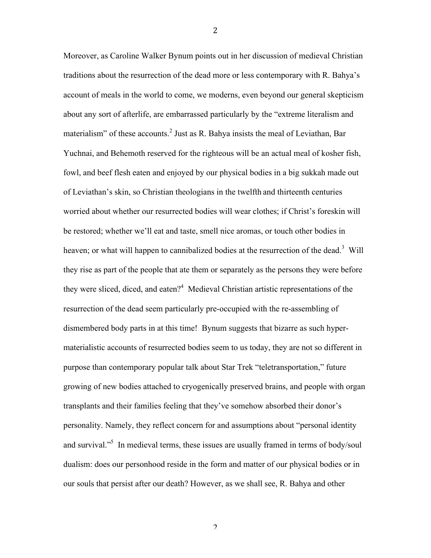Moreover, as Caroline Walker Bynum points out in her discussion of medieval Christian traditions about the resurrection of the dead more or less contemporary with R. Bahya's account of meals in the world to come, we moderns, even beyond our general skepticism about any sort of afterlife, are embarrassed particularly by the "extreme literalism and materialism" of these accounts.<sup>2</sup> Just as R. Bahya insists the meal of Leviathan, Bar Yuchnai, and Behemoth reserved for the righteous will be an actual meal of kosher fish, fowl, and beef flesh eaten and enjoyed by our physical bodies in a big sukkah made out of Leviathan's skin, so Christian theologians in the twelfth and thirteenth centuries worried about whether our resurrected bodies will wear clothes; if Christ's foreskin will be restored; whether we'll eat and taste, smell nice aromas, or touch other bodies in heaven; or what will happen to cannibalized bodies at the resurrection of the dead.<sup>3</sup> Will they rise as part of the people that ate them or separately as the persons they were before they were sliced, diced, and eaten?<sup>4</sup> Medieval Christian artistic representations of the resurrection of the dead seem particularly pre-occupied with the re-assembling of dismembered body parts in at this time! Bynum suggests that bizarre as such hypermaterialistic accounts of resurrected bodies seem to us today, they are not so different in purpose than contemporary popular talk about Star Trek "teletransportation," future growing of new bodies attached to cryogenically preserved brains, and people with organ transplants and their families feeling that they've somehow absorbed their donor's personality. Namely, they reflect concern for and assumptions about "personal identity and survival."<sup>5</sup> In medieval terms, these issues are usually framed in terms of body/soul dualism: does our personhood reside in the form and matter of our physical bodies or in our souls that persist after our death? However, as we shall see, R. Bahya and other

2

 $\mathcal{D}_{\alpha}$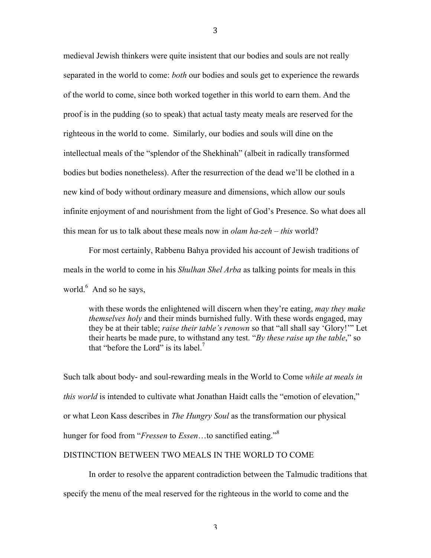medieval Jewish thinkers were quite insistent that our bodies and souls are not really separated in the world to come: *both* our bodies and souls get to experience the rewards of the world to come, since both worked together in this world to earn them. And the proof is in the pudding (so to speak) that actual tasty meaty meals are reserved for the righteous in the world to come. Similarly, our bodies and souls will dine on the intellectual meals of the "splendor of the Shekhinah" (albeit in radically transformed bodies but bodies nonetheless). After the resurrection of the dead we'll be clothed in a new kind of body without ordinary measure and dimensions, which allow our souls infinite enjoyment of and nourishment from the light of God's Presence. So what does all this mean for us to talk about these meals now in *olam ha-zeh* – *this* world?

For most certainly, Rabbenu Bahya provided his account of Jewish traditions of meals in the world to come in his *Shulhan Shel Arba* as talking points for meals in this world. $<sup>6</sup>$  And so he says,</sup>

with these words the enlightened will discern when they're eating, *may they make themselves holy* and their minds burnished fully. With these words engaged, may they be at their table; *raise their table's renown* so that "all shall say 'Glory!'" Let their hearts be made pure, to withstand any test. "*By these raise up the table*," so that "before the Lord" is its label.<sup>7</sup>

Such talk about body- and soul-rewarding meals in the World to Come *while at meals in this world* is intended to cultivate what Jonathan Haidt calls the "emotion of elevation," or what Leon Kass describes in *The Hungry Soul* as the transformation our physical hunger for food from "*Fressen* to *Essen*…to sanctified eating."8

## DISTINCTION BETWEEN TWO MEALS IN THE WORLD TO COME

In order to resolve the apparent contradiction between the Talmudic traditions that

specify the menu of the meal reserved for the righteous in the world to come and the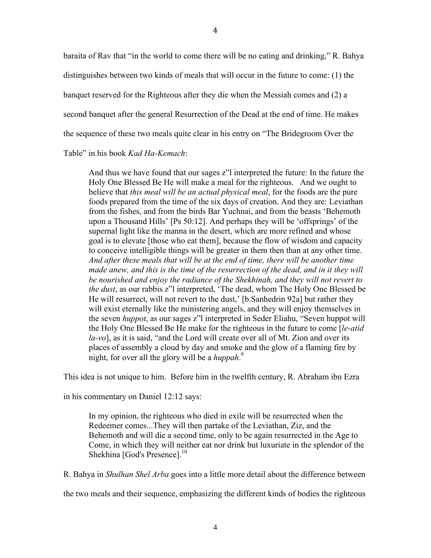baraita of Rav that "in the world to come there will be no eating and drinking," R. Bahya distinguishes between two kinds of meals that will occur in the future to come: (1) the banquet reserved for the Righteous after they die when the Messiah comes and (2) a second banquet after the general Resurrection of the Dead at the end of time. He makes the sequence of these two meals quite clear in his entry on "The Bridegroom Over the

Table" in his book *Kad Ha-Kemach*:

And thus we have found that our sages z"l interpreted the future: In the future the Holy One Blessed Be He will make a meal for the righteous. And we ought to believe that *this meal will be an actual physical meal*, for the foods are the pure foods prepared from the time of the six days of creation. And they are: Leviathan from the fishes, and from the birds Bar Yuchnai, and from the beasts 'Behemoth upon a Thousand Hills' [Ps 50:12]. And perhaps they will be 'offsprings' of the supernal light like the manna in the desert, which are more refined and whose goal is to elevate [those who eat them], because the flow of wisdom and capacity to conceive intelligible things will be greater in them then than at any other time. *And after these meals that will be at the end of time, there will be another time made anew, and this is the time of the resurrection of the dead, and in it they will be nourished and enjoy the radiance of the Shekhinah, and they will not revert to the dust*, as our rabbis z"l interpreted, 'The dead, whom The Holy One Blessed be He will resurrect, will not revert to the dust,' [b.Sanhedrin 92a] but rather they will exist eternally like the ministering angels, and they will enjoy themselves in the seven *huppot*, as our sages z"l interpreted in Seder Eliahu, "Seven huppot will the Holy One Blessed Be He make for the righteous in the future to come [*le-atid la-vo*], as it is said, "and the Lord will create over all of Mt. Zion and over its places of assembly a cloud by day and smoke and the glow of a flaming fire by night, for over all the glory will be a *huppah*. 9

This idea is not unique to him. Before him in the twelfth century, R. Abraham ibn Ezra

in his commentary on Daniel 12:12 says:

In my opinion, the righteous who died in exile will be resurrected when the Redeemer comes...They will then partake of the Leviathan, Ziz, and the Behemoth and will die a second time, only to be again resurrected in the Age to Come, in which they will neither eat nor drink but luxuriate in the splendor of the Shekhina [God's Presence].<sup>10</sup>

R. Bahya in *Shulhan Shel Arba* goes into a little more detail about the difference between

the two meals and their sequence, emphasizing the different kinds of bodies the righteous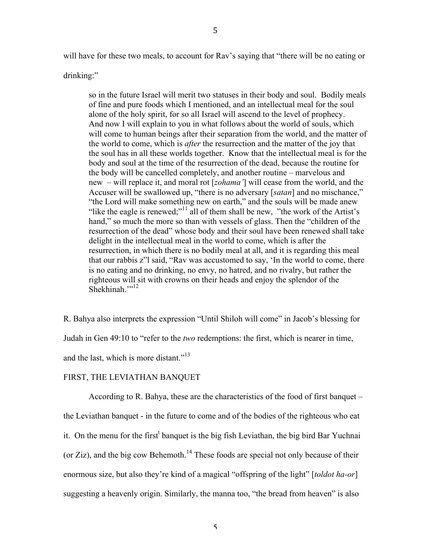will have for these two meals, to account for Rav's saying that "there will be no eating or

drinking:"

so in the future Israel will merit two statuses in their body and soul. Bodily meals of fine and pure foods which I mentioned, and an intellectual meal for the soul alone of the holy spirit, for so all Israel will ascend to the level of prophecy. And now I will explain to you in what follows about the world of souls, which will come to human beings after their separation from the world, and the matter of the world to come, which is *after* the resurrection and the matter of the joy that the soul has in all these worlds together. Know that the intellectual meal is for the body and soul at the time of the resurrection of the dead, because the routine for the body will be cancelled completely, and another routine – marvelous and new – will replace it, and moral rot [*zohama'*] will cease from the world, and the Accuser will be swallowed up, "there is no adversary [*satan*] and no mischance," "the Lord will make something new on earth," and the souls will be made anew "like the eagle is renewed;"<sup>11</sup> all of them shall be new, "the work of the Artist's hand," so much the more so than with vessels of glass. Then the "children of the resurrection of the dead" whose body and their soul have been renewed shall take delight in the intellectual meal in the world to come, which is after the resurrection, in which there is no bodily meal at all, and it is regarding this meal that our rabbis z"l said, "Rav was accustomed to say, 'In the world to come, there is no eating and no drinking, no envy, no hatred, and no rivalry, but rather the righteous will sit with crowns on their heads and enjoy the splendor of the Shekhinah."<sup>12</sup>

R. Bahya also interprets the expression "Until Shiloh will come" in Jacob's blessing for Judah in Gen 49:10 to "refer to the *two* redemptions: the first, which is nearer in time, and the last, which is more distant."<sup>13</sup>

# FIRST, THE LEVIATHAN BANQUET

According to R. Bahya, these are the characteristics of the food of first banquet – the Leviathan banquet - in the future to come and of the bodies of the righteous who eat it. On the menu for the first<sup>t</sup> banquet is the big fish Leviathan, the big bird Bar Yuchnai (or Ziz), and the big cow Behemoth.<sup>14</sup> These foods are special not only because of their enormous size, but also they're kind of a magical "offspring of the light" [*toldot ha-or*] suggesting a heavenly origin. Similarly, the manna too, "the bread from heaven" is also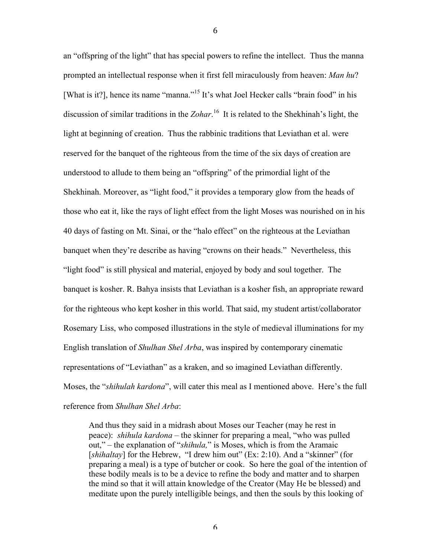an "offspring of the light" that has special powers to refine the intellect. Thus the manna prompted an intellectual response when it first fell miraculously from heaven: *Man hu*? [What is it?], hence its name "manna."<sup>15</sup> It's what Joel Hecker calls "brain food" in his discussion of similar traditions in the *Zohar*.<sup>16</sup> It is related to the Shekhinah's light, the light at beginning of creation. Thus the rabbinic traditions that Leviathan et al. were reserved for the banquet of the righteous from the time of the six days of creation are understood to allude to them being an "offspring" of the primordial light of the Shekhinah. Moreover, as "light food," it provides a temporary glow from the heads of those who eat it, like the rays of light effect from the light Moses was nourished on in his 40 days of fasting on Mt. Sinai, or the "halo effect" on the righteous at the Leviathan banquet when they're describe as having "crowns on their heads." Nevertheless, this "light food" is still physical and material, enjoyed by body and soul together. The banquet is kosher. R. Bahya insists that Leviathan is a kosher fish, an appropriate reward for the righteous who kept kosher in this world. That said, my student artist/collaborator Rosemary Liss, who composed illustrations in the style of medieval illuminations for my English translation of *Shulhan Shel Arba*, was inspired by contemporary cinematic representations of "Leviathan" as a kraken, and so imagined Leviathan differently. Moses, the "*shihulah kardona*", will cater this meal as I mentioned above. Here's the full reference from *Shulhan Shel Arba*:

And thus they said in a midrash about Moses our Teacher (may he rest in peace): *shihula kardona* – the skinner for preparing a meal, "who was pulled out," – the explanation of "*shihula,*" is Moses, which is from the Aramaic [*shihaltay*] for the Hebrew, "I drew him out" (Ex: 2:10). And a "skinner" (for preparing a meal) is a type of butcher or cook. So here the goal of the intention of these bodily meals is to be a device to refine the body and matter and to sharpen the mind so that it will attain knowledge of the Creator (May He be blessed) and meditate upon the purely intelligible beings, and then the souls by this looking of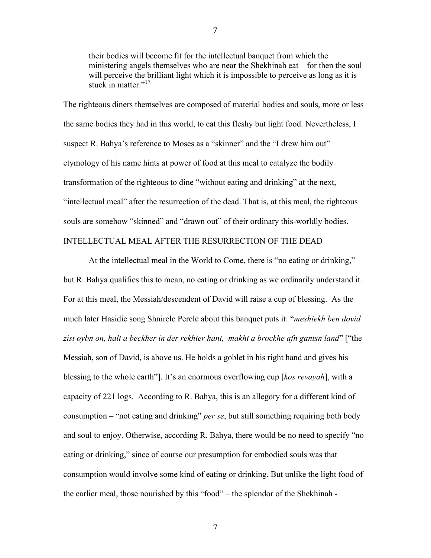their bodies will become fit for the intellectual banquet from which the ministering angels themselves who are near the Shekhinah eat – for then the soul will perceive the brilliant light which it is impossible to perceive as long as it is stuck in matter."<sup>17</sup>

The righteous diners themselves are composed of material bodies and souls, more or less the same bodies they had in this world, to eat this fleshy but light food. Nevertheless, I suspect R. Bahya's reference to Moses as a "skinner" and the "I drew him out" etymology of his name hints at power of food at this meal to catalyze the bodily transformation of the righteous to dine "without eating and drinking" at the next, "intellectual meal" after the resurrection of the dead. That is, at this meal, the righteous souls are somehow "skinned" and "drawn out" of their ordinary this-worldly bodies. INTELLECTUAL MEAL AFTER THE RESURRECTION OF THE DEAD

At the intellectual meal in the World to Come, there is "no eating or drinking," but R. Bahya qualifies this to mean, no eating or drinking as we ordinarily understand it. For at this meal, the Messiah/descendent of David will raise a cup of blessing. As the much later Hasidic song Shnirele Perele about this banquet puts it: "*meshiekh ben dovid zist oybn on, halt a beckher in der rekhter hant, makht a brockhe afn gantsn land*" ["the Messiah, son of David, is above us. He holds a goblet in his right hand and gives his blessing to the whole earth"]. It's an enormous overflowing cup [*kos revayah*], with a capacity of 221 logs. According to R. Bahya, this is an allegory for a different kind of consumption – "not eating and drinking" *per se*, but still something requiring both body and soul to enjoy. Otherwise, according R. Bahya, there would be no need to specify "no eating or drinking," since of course our presumption for embodied souls was that consumption would involve some kind of eating or drinking. But unlike the light food of the earlier meal, those nourished by this "food" – the splendor of the Shekhinah -

7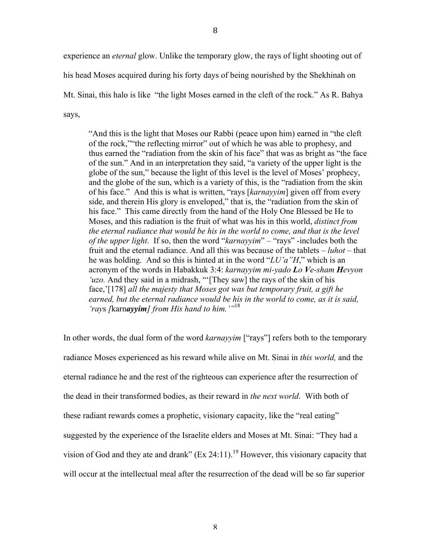experience an *eternal* glow. Unlike the temporary glow, the rays of light shooting out of his head Moses acquired during his forty days of being nourished by the Shekhinah on Mt. Sinai, this halo is like "the light Moses earned in the cleft of the rock." As R. Bahya says,

"And this is the light that Moses our Rabbi (peace upon him) earned in "the cleft of the rock,""the reflecting mirror" out of which he was able to prophesy, and thus earned the "radiation from the skin of his face" that was as bright as "the face of the sun." And in an interpretation they said, "a variety of the upper light is the globe of the sun," because the light of this level is the level of Moses' prophecy, and the globe of the sun, which is a variety of this, is the "radiation from the skin of his face." And this is what is written, "rays [*karnayyim*] given off from every side, and therein His glory is enveloped," that is, the "radiation from the skin of his face." This came directly from the hand of the Holy One Blessed be He to Moses, and this radiation is the fruit of what was his in this world, *distinct from the eternal radiance that would be his in the world to come, and that is the level of the upper light*. If so, then the word "*karnayyim*" – "rays" -includes both the fruit and the eternal radiance. And all this was because of the tablets – *luhot* – that he was holding. And so this is hinted at in the word "*LU'a"H*," which is an acronym of the words in Habakkuk 3:4: *karnayyim mi-yado Lo Ve-sham Hevyon*  'uzo. And they said in a midrash, "'[They saw] the rays of the skin of his face,'[178] *all the majesty that Moses got was but temporary fruit, a gift he earned, but the eternal radiance would be his in the world to come, as it is said, 'ray*s *[*karn*ayyim] from His hand to him.'"*<sup>18</sup>

In other words, the dual form of the word *karnayyim* ["rays"] refers both to the temporary radiance Moses experienced as his reward while alive on Mt. Sinai in *this world,* and the eternal radiance he and the rest of the righteous can experience after the resurrection of the dead in their transformed bodies, as their reward in *the next world*. With both of these radiant rewards comes a prophetic, visionary capacity, like the "real eating" suggested by the experience of the Israelite elders and Moses at Mt. Sinai: "They had a vision of God and they ate and drank"  $(Ex 24:11).<sup>19</sup>$  However, this visionary capacity that will occur at the intellectual meal after the resurrection of the dead will be so far superior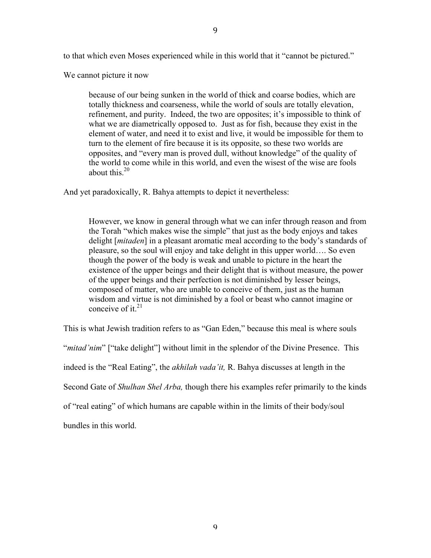to that which even Moses experienced while in this world that it "cannot be pictured."

We cannot picture it now

because of our being sunken in the world of thick and coarse bodies, which are totally thickness and coarseness, while the world of souls are totally elevation, refinement, and purity. Indeed, the two are opposites; it's impossible to think of what we are diametrically opposed to. Just as for fish, because they exist in the element of water, and need it to exist and live, it would be impossible for them to turn to the element of fire because it is its opposite, so these two worlds are opposites, and "every man is proved dull, without knowledge" of the quality of the world to come while in this world, and even the wisest of the wise are fools about this  $20$ 

And yet paradoxically, R. Bahya attempts to depict it nevertheless:

However, we know in general through what we can infer through reason and from the Torah "which makes wise the simple" that just as the body enjoys and takes delight [*mitaden*] in a pleasant aromatic meal according to the body's standards of pleasure, so the soul will enjoy and take delight in this upper world…. So even though the power of the body is weak and unable to picture in the heart the existence of the upper beings and their delight that is without measure, the power of the upper beings and their perfection is not diminished by lesser beings, composed of matter, who are unable to conceive of them, just as the human wisdom and virtue is not diminished by a fool or beast who cannot imagine or conceive of it. $^{21}$ 

This is what Jewish tradition refers to as "Gan Eden," because this meal is where souls

"*mitad'nim*" ["take delight"] without limit in the splendor of the Divine Presence. This indeed is the "Real Eating", the *akhilah vada'it,* R. Bahya discusses at length in the Second Gate of *Shulhan Shel Arba,* though there his examples refer primarily to the kinds of "real eating" of which humans are capable within in the limits of their body/soul bundles in this world.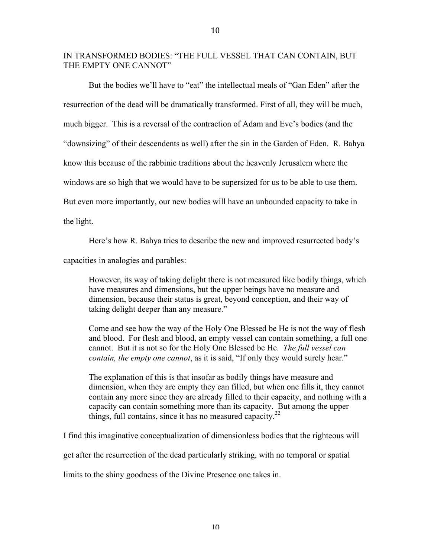## IN TRANSFORMED BODIES: "THE FULL VESSEL THAT CAN CONTAIN, BUT THE EMPTY ONE CANNOT"

But the bodies we'll have to "eat" the intellectual meals of "Gan Eden" after the resurrection of the dead will be dramatically transformed. First of all, they will be much, much bigger. This is a reversal of the contraction of Adam and Eve's bodies (and the "downsizing" of their descendents as well) after the sin in the Garden of Eden. R. Bahya know this because of the rabbinic traditions about the heavenly Jerusalem where the windows are so high that we would have to be supersized for us to be able to use them. But even more importantly, our new bodies will have an unbounded capacity to take in the light.

Here's how R. Bahya tries to describe the new and improved resurrected body's

capacities in analogies and parables:

However, its way of taking delight there is not measured like bodily things, which have measures and dimensions, but the upper beings have no measure and dimension, because their status is great, beyond conception, and their way of taking delight deeper than any measure."

Come and see how the way of the Holy One Blessed be He is not the way of flesh and blood. For flesh and blood, an empty vessel can contain something, a full one cannot. But it is not so for the Holy One Blessed be He. *The full vessel can contain, the empty one cannot*, as it is said, "If only they would surely hear."

The explanation of this is that insofar as bodily things have measure and dimension, when they are empty they can filled, but when one fills it, they cannot contain any more since they are already filled to their capacity, and nothing with a capacity can contain something more than its capacity. But among the upper things, full contains, since it has no measured capacity.<sup>22</sup>

I find this imaginative conceptualization of dimensionless bodies that the righteous will

get after the resurrection of the dead particularly striking, with no temporal or spatial

limits to the shiny goodness of the Divine Presence one takes in.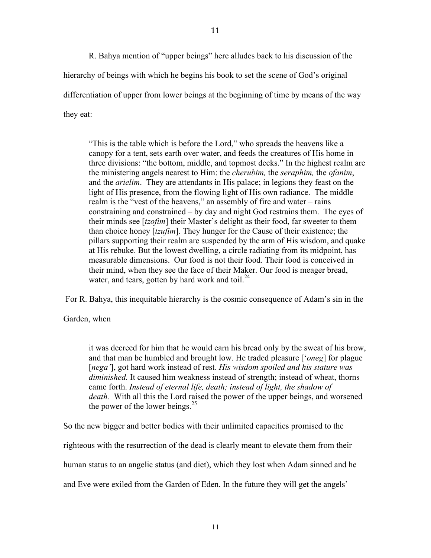R. Bahya mention of "upper beings" here alludes back to his discussion of the hierarchy of beings with which he begins his book to set the scene of God's original differentiation of upper from lower beings at the beginning of time by means of the way they eat:

"This is the table which is before the Lord," who spreads the heavens like a canopy for a tent, sets earth over water, and feeds the creatures of His home in three divisions: "the bottom, middle, and topmost decks." In the highest realm are the ministering angels nearest to Him: the *cherubim,* the *seraphim,* the *ofanim*, and the *arielim*. They are attendants in His palace; in legions they feast on the light of His presence, from the flowing light of His own radiance. The middle realm is the "vest of the heavens," an assembly of fire and water – rains constraining and constrained – by day and night God restrains them. The eyes of their minds see [*tzofim*] their Master's delight as their food, far sweeter to them than choice honey [*tzufim*]. They hunger for the Cause of their existence; the pillars supporting their realm are suspended by the arm of His wisdom, and quake at His rebuke. But the lowest dwelling, a circle radiating from its midpoint, has measurable dimensions. Our food is not their food. Their food is conceived in their mind, when they see the face of their Maker. Our food is meager bread, water, and tears, gotten by hard work and toil. $^{24}$ 

For R. Bahya, this inequitable hierarchy is the cosmic consequence of Adam's sin in the

Garden, when

it was decreed for him that he would earn his bread only by the sweat of his brow, and that man be humbled and brought low. He traded pleasure ['*oneg*] for plague [*nega'*], got hard work instead of rest. *His wisdom spoiled and his stature was diminished.* It caused him weakness instead of strength; instead of wheat, thorns came forth. *Instead of eternal life, death; instead of light, the shadow of death.* With all this the Lord raised the power of the upper beings, and worsened the power of the lower beings.<sup>25</sup>

So the new bigger and better bodies with their unlimited capacities promised to the

righteous with the resurrection of the dead is clearly meant to elevate them from their

human status to an angelic status (and diet), which they lost when Adam sinned and he

and Eve were exiled from the Garden of Eden. In the future they will get the angels'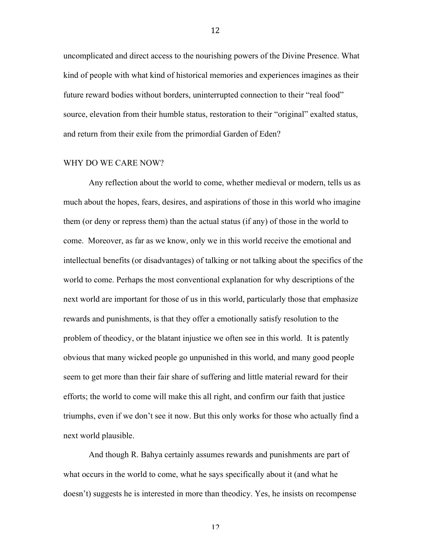uncomplicated and direct access to the nourishing powers of the Divine Presence. What kind of people with what kind of historical memories and experiences imagines as their future reward bodies without borders, uninterrupted connection to their "real food" source, elevation from their humble status, restoration to their "original" exalted status, and return from their exile from the primordial Garden of Eden?

#### WHY DO WE CARE NOW?

Any reflection about the world to come, whether medieval or modern, tells us as much about the hopes, fears, desires, and aspirations of those in this world who imagine them (or deny or repress them) than the actual status (if any) of those in the world to come. Moreover, as far as we know, only we in this world receive the emotional and intellectual benefits (or disadvantages) of talking or not talking about the specifics of the world to come. Perhaps the most conventional explanation for why descriptions of the next world are important for those of us in this world, particularly those that emphasize rewards and punishments, is that they offer a emotionally satisfy resolution to the problem of theodicy, or the blatant injustice we often see in this world. It is patently obvious that many wicked people go unpunished in this world, and many good people seem to get more than their fair share of suffering and little material reward for their efforts; the world to come will make this all right, and confirm our faith that justice triumphs, even if we don't see it now. But this only works for those who actually find a next world plausible.

And though R. Bahya certainly assumes rewards and punishments are part of what occurs in the world to come, what he says specifically about it (and what he doesn't) suggests he is interested in more than theodicy. Yes, he insists on recompense

12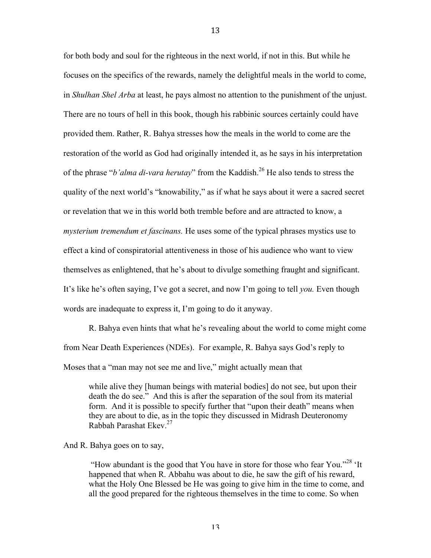for both body and soul for the righteous in the next world, if not in this. But while he focuses on the specifics of the rewards, namely the delightful meals in the world to come, in *Shulhan Shel Arba* at least, he pays almost no attention to the punishment of the unjust. There are no tours of hell in this book, though his rabbinic sources certainly could have provided them. Rather, R. Bahya stresses how the meals in the world to come are the restoration of the world as God had originally intended it, as he says in his interpretation of the phrase "*b'alma di-vara herutay*" from the Kaddish.<sup>26</sup> He also tends to stress the quality of the next world's "knowability," as if what he says about it were a sacred secret or revelation that we in this world both tremble before and are attracted to know, a *mysterium tremendum et fascinans.* He uses some of the typical phrases mystics use to effect a kind of conspiratorial attentiveness in those of his audience who want to view themselves as enlightened, that he's about to divulge something fraught and significant. It's like he's often saying, I've got a secret, and now I'm going to tell *you.* Even though words are inadequate to express it, I'm going to do it anyway.

R. Bahya even hints that what he's revealing about the world to come might come from Near Death Experiences (NDEs). For example, R. Bahya says God's reply to Moses that a "man may not see me and live," might actually mean that

while alive they [human beings with material bodies] do not see, but upon their death the do see." And this is after the separation of the soul from its material form. And it is possible to specify further that "upon their death" means when they are about to die, as in the topic they discussed in Midrash Deuteronomy Rabbah Parashat Ekev.27

And R. Bahya goes on to say,

"How abundant is the good that You have in store for those who fear You."<sup>28</sup> 'It happened that when R. Abbahu was about to die, he saw the gift of his reward, what the Holy One Blessed be He was going to give him in the time to come, and all the good prepared for the righteous themselves in the time to come. So when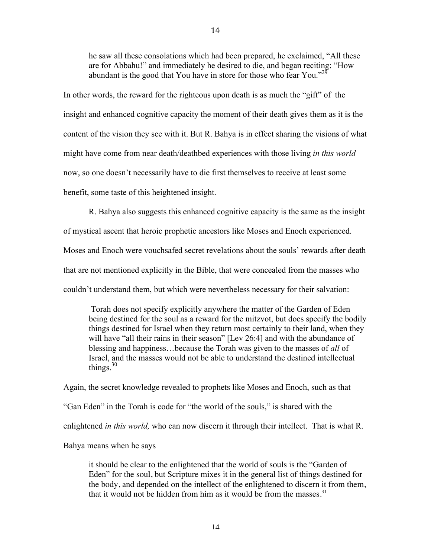he saw all these consolations which had been prepared, he exclaimed, "All these are for Abbahu!" and immediately he desired to die, and began reciting: "How abundant is the good that You have in store for those who fear You."<sup>29</sup>

In other words, the reward for the righteous upon death is as much the "gift" of the insight and enhanced cognitive capacity the moment of their death gives them as it is the content of the vision they see with it. But R. Bahya is in effect sharing the visions of what might have come from near death/deathbed experiences with those living *in this world* now, so one doesn't necessarily have to die first themselves to receive at least some benefit, some taste of this heightened insight.

R. Bahya also suggests this enhanced cognitive capacity is the same as the insight of mystical ascent that heroic prophetic ancestors like Moses and Enoch experienced. Moses and Enoch were vouchsafed secret revelations about the souls' rewards after death that are not mentioned explicitly in the Bible, that were concealed from the masses who couldn't understand them, but which were nevertheless necessary for their salvation:

Torah does not specify explicitly anywhere the matter of the Garden of Eden being destined for the soul as a reward for the mitzvot, but does specify the bodily things destined for Israel when they return most certainly to their land, when they will have "all their rains in their season" [Lev 26:4] and with the abundance of blessing and happiness…because the Torah was given to the masses of *all* of Israel, and the masses would not be able to understand the destined intellectual things.  $30$ 

Again, the secret knowledge revealed to prophets like Moses and Enoch, such as that "Gan Eden" in the Torah is code for "the world of the souls," is shared with the enlightened *in this world,* who can now discern it through their intellect. That is what R. Bahya means when he says

it should be clear to the enlightened that the world of souls is the "Garden of Eden" for the soul, but Scripture mixes it in the general list of things destined for the body, and depended on the intellect of the enlightened to discern it from them,

14

that it would not be hidden from him as it would be from the masses.<sup>31</sup>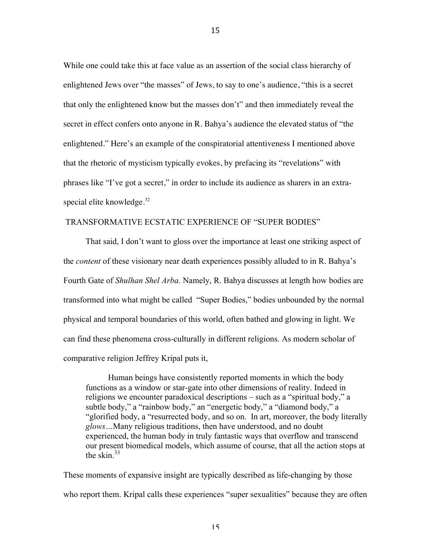While one could take this at face value as an assertion of the social class hierarchy of enlightened Jews over "the masses" of Jews, to say to one's audience, "this is a secret that only the enlightened know but the masses don't" and then immediately reveal the secret in effect confers onto anyone in R. Bahya's audience the elevated status of "the enlightened." Here's an example of the conspiratorial attentiveness I mentioned above that the rhetoric of mysticism typically evokes, by prefacing its "revelations" with phrases like "I've got a secret," in order to include its audience as sharers in an extraspecial elite knowledge.<sup>32</sup>

#### TRANSFORMATIVE ECSTATIC EXPERIENCE OF "SUPER BODIES"

That said, I don't want to gloss over the importance at least one striking aspect of the *content* of these visionary near death experiences possibly alluded to in R. Bahya's Fourth Gate of *Shulhan Shel Arba*. Namely, R. Bahya discusses at length how bodies are transformed into what might be called "Super Bodies," bodies unbounded by the normal physical and temporal boundaries of this world, often bathed and glowing in light. We can find these phenomena cross-culturally in different religions. As modern scholar of comparative religion Jeffrey Kripal puts it,

Human beings have consistently reported moments in which the body functions as a window or star-gate into other dimensions of reality. Indeed in religions we encounter paradoxical descriptions – such as a "spiritual body," a subtle body," a "rainbow body," an "energetic body," a "diamond body," a "glorified body, a "resurrected body, and so on. In art, moreover, the body literally *glows…*Many religious traditions, then have understood, and no doubt experienced, the human body in truly fantastic ways that overflow and transcend our present biomedical models, which assume of course, that all the action stops at the skin  $33$ 

These moments of expansive insight are typically described as life-changing by those who report them. Kripal calls these experiences "super sexualities" because they are often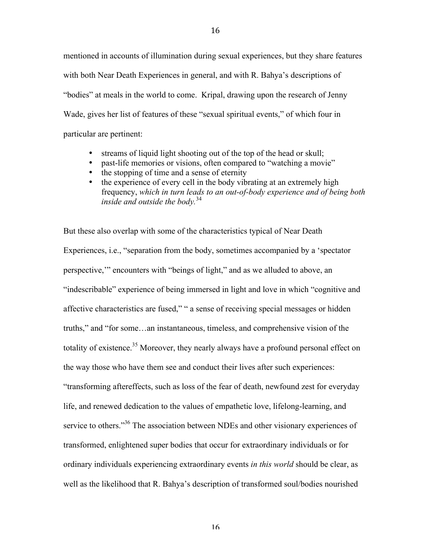mentioned in accounts of illumination during sexual experiences, but they share features with both Near Death Experiences in general, and with R. Bahya's descriptions of "bodies" at meals in the world to come. Kripal, drawing upon the research of Jenny Wade, gives her list of features of these "sexual spiritual events," of which four in particular are pertinent:

- streams of liquid light shooting out of the top of the head or skull;
- past-life memories or visions, often compared to "watching a movie"
- the stopping of time and a sense of eternity<br>• the experience of every cell in the body vib
- the experience of every cell in the body vibrating at an extremely high frequency, *which in turn leads to an out-of-body experience and of being both inside and outside the body.* 34

But these also overlap with some of the characteristics typical of Near Death Experiences, i.e., "separation from the body, sometimes accompanied by a 'spectator perspective,'" encounters with "beings of light," and as we alluded to above, an "indescribable" experience of being immersed in light and love in which "cognitive and affective characteristics are fused," " a sense of receiving special messages or hidden truths," and "for some…an instantaneous, timeless, and comprehensive vision of the totality of existence.<sup>35</sup> Moreover, they nearly always have a profound personal effect on the way those who have them see and conduct their lives after such experiences: "transforming aftereffects, such as loss of the fear of death, newfound zest for everyday life, and renewed dedication to the values of empathetic love, lifelong-learning, and service to others."<sup>36</sup> The association between NDEs and other visionary experiences of transformed, enlightened super bodies that occur for extraordinary individuals or for ordinary individuals experiencing extraordinary events *in this world* should be clear, as well as the likelihood that R. Bahya's description of transformed soul/bodies nourished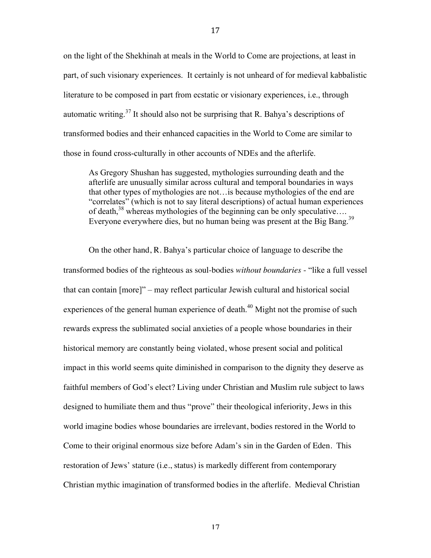on the light of the Shekhinah at meals in the World to Come are projections, at least in part, of such visionary experiences. It certainly is not unheard of for medieval kabbalistic literature to be composed in part from ecstatic or visionary experiences, i.e., through automatic writing.<sup>37</sup> It should also not be surprising that R. Bahya's descriptions of transformed bodies and their enhanced capacities in the World to Come are similar to those in found cross-culturally in other accounts of NDEs and the afterlife.

As Gregory Shushan has suggested, mythologies surrounding death and the afterlife are unusually similar across cultural and temporal boundaries in ways that other types of mythologies are not…is because mythologies of the end are "correlates" (which is not to say literal descriptions) of actual human experiences of death,  $38$  whereas mythologies of the beginning can be only speculative... Everyone everywhere dies, but no human being was present at the Big Bang.<sup>39</sup>

On the other hand, R. Bahya's particular choice of language to describe the transformed bodies of the righteous as soul-bodies *without boundaries* - "like a full vessel that can contain [more]" – may reflect particular Jewish cultural and historical social experiences of the general human experience of death.<sup>40</sup> Might not the promise of such rewards express the sublimated social anxieties of a people whose boundaries in their historical memory are constantly being violated, whose present social and political impact in this world seems quite diminished in comparison to the dignity they deserve as faithful members of God's elect? Living under Christian and Muslim rule subject to laws designed to humiliate them and thus "prove" their theological inferiority, Jews in this world imagine bodies whose boundaries are irrelevant, bodies restored in the World to Come to their original enormous size before Adam's sin in the Garden of Eden. This restoration of Jews' stature (i.e., status) is markedly different from contemporary Christian mythic imagination of transformed bodies in the afterlife. Medieval Christian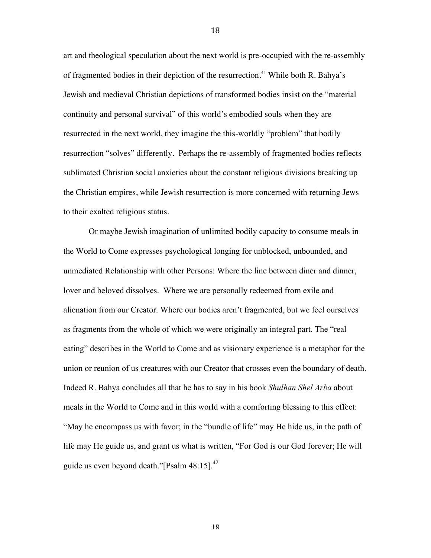art and theological speculation about the next world is pre-occupied with the re-assembly of fragmented bodies in their depiction of the resurrection.<sup>41</sup> While both R. Bahya's Jewish and medieval Christian depictions of transformed bodies insist on the "material continuity and personal survival" of this world's embodied souls when they are resurrected in the next world, they imagine the this-worldly "problem" that bodily resurrection "solves" differently. Perhaps the re-assembly of fragmented bodies reflects sublimated Christian social anxieties about the constant religious divisions breaking up the Christian empires, while Jewish resurrection is more concerned with returning Jews to their exalted religious status.

Or maybe Jewish imagination of unlimited bodily capacity to consume meals in the World to Come expresses psychological longing for unblocked, unbounded, and unmediated Relationship with other Persons: Where the line between diner and dinner, lover and beloved dissolves. Where we are personally redeemed from exile and alienation from our Creator. Where our bodies aren't fragmented, but we feel ourselves as fragments from the whole of which we were originally an integral part. The "real eating" describes in the World to Come and as visionary experience is a metaphor for the union or reunion of us creatures with our Creator that crosses even the boundary of death. Indeed R. Bahya concludes all that he has to say in his book *Shulhan Shel Arba* about meals in the World to Come and in this world with a comforting blessing to this effect: "May he encompass us with favor; in the "bundle of life" may He hide us, in the path of life may He guide us, and grant us what is written, "For God is our God forever; He will guide us even beyond death."[Psalm  $48:15$ ]. $^{42}$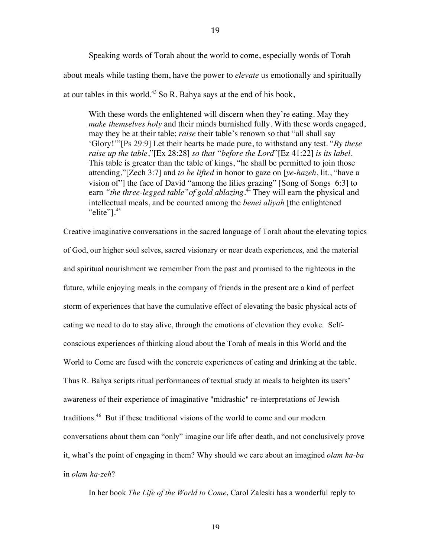Speaking words of Torah about the world to come, especially words of Torah about meals while tasting them, have the power to *elevate* us emotionally and spiritually at our tables in this world.<sup>43</sup> So R. Bahya says at the end of his book,

With these words the enlightened will discern when they're eating. May they *make themselves holy* and their minds burnished fully. With these words engaged, may they be at their table; *raise* their table's renown so that "all shall say 'Glory!'"[Ps 29:9] Let their hearts be made pure, to withstand any test. "*By these raise up the table*,"[Ex 28:28] *so that "before the Lord*"[Ez 41:22] *is its label*. This table is greater than the table of kings, "he shall be permitted to join those attending,"[Zech 3:7] and *to be lifted* in honor to gaze on [*ye-hazeh*, lit., "have a vision of"] the face of David "among the lilies grazing" [Song of Songs 6:3] to earn *"the three-legged table"of gold ablazing*. 44 They will earn the physical and intellectual meals, and be counted among the *benei aliyah* [the enlightened "elite"].<sup>45</sup>

Creative imaginative conversations in the sacred language of Torah about the elevating topics of God, our higher soul selves, sacred visionary or near death experiences, and the material and spiritual nourishment we remember from the past and promised to the righteous in the future, while enjoying meals in the company of friends in the present are a kind of perfect storm of experiences that have the cumulative effect of elevating the basic physical acts of eating we need to do to stay alive, through the emotions of elevation they evoke. Selfconscious experiences of thinking aloud about the Torah of meals in this World and the World to Come are fused with the concrete experiences of eating and drinking at the table. Thus R. Bahya scripts ritual performances of textual study at meals to heighten its users' awareness of their experience of imaginative "midrashic" re-interpretations of Jewish traditions.46 But if these traditional visions of the world to come and our modern conversations about them can "only" imagine our life after death, and not conclusively prove it, what's the point of engaging in them? Why should we care about an imagined *olam ha-ba* in *olam ha-zeh*?

In her book *The Life of the World to Come*, Carol Zaleski has a wonderful reply to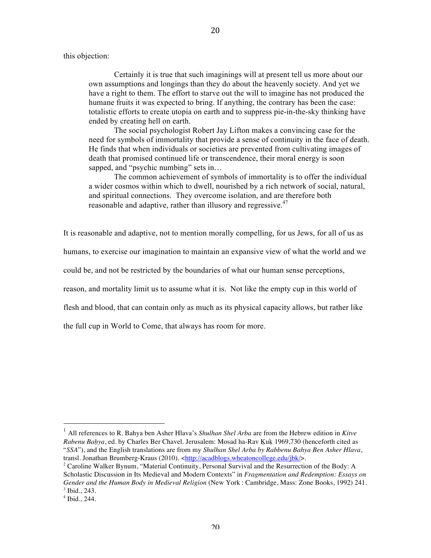this objection:

Certainly it is true that such imaginings will at present tell us more about our own assumptions and longings than they do about the heavenly society. And yet we have a right to them. The effort to starve out the will to imagine has not produced the humane fruits it was expected to bring. If anything, the contrary has been the case: totalistic efforts to create utopia on earth and to suppress pie-in-the-sky thinking have ended by creating hell on earth.

The social psychologist Robert Jay Lifton makes a convincing case for the need for symbols of immortality that provide a sense of continuity in the face of death. He finds that when individuals or societies are prevented from cultivating images of death that promised continued life or transcendence, their moral energy is soon sapped, and "psychic numbing" sets in...

The common achievement of symbols of immortality is to offer the individual a wider cosmos within which to dwell, nourished by a rich network of social, natural, and spiritual connections. They overcome isolation, and are therefore both reasonable and adaptive, rather than illusory and regressive.<sup>47</sup>

It is reasonable and adaptive, not to mention morally compelling, for us Jews, for all of us as

humans, to exercise our imagination to maintain an expansive view of what the world and we

could be, and not be restricted by the boundaries of what our human sense perceptions,

reason, and mortality limit us to assume what it is. Not like the empty cup in this world of

flesh and blood, that can contain only as much as its physical capacity allows, but rather like

the full cup in World to Come, that always has room for more.

 <sup>1</sup> All references to R. Bahya ben Asher Hlava's *Shulhan Shel Arba* are from the Hebrew edition in *Kitve Rabenu Baḥya*, ed. by Charles Ber Chavel. Jerusalem: Mosad ha-Rav Ḳuḳ 1969,730 (henceforth cited as "*SSA*"), and the English translations are from my *Shulhan Shel Arba by Rabbenu Bahya Ben Asher Hlava*, transl. Jonathan Brumberg-Kraus (2010). <http://acadblogs.wheatoncollege.edu/jbk/>.

<sup>&</sup>lt;sup>2</sup> Caroline Walker Bynum, "Material Continuity, Personal Survival and the Resurrection of the Body: A Scholastic Discussion in Its Medieval and Modern Contexts" in *Fragmentation and Redemption: Essays on Gender and the Human Body in Medieval Religion* (New York : Cambridge, Mass: Zone Books, 1992) 241. 3 Ibid., 243.

<sup>4</sup> Ibid., 244.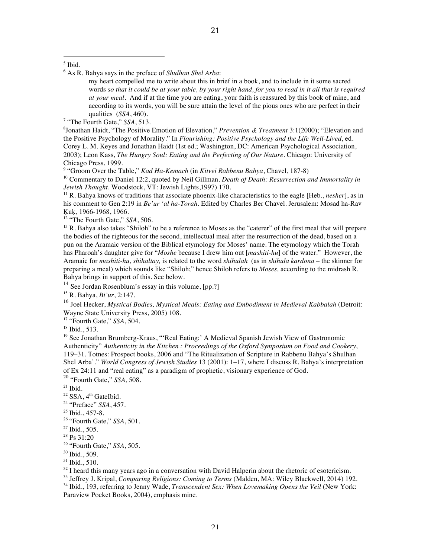5 Ibid.

6 As R. Bahya says in the preface of *Shulhan Shel Arba*:

my heart compelled me to write about this in brief in a book, and to include in it some sacred words *so that it could be at your table, by your right hand, for you to read in it all that is required at your meal.* And if at the time you are eating, your faith is reassured by this book of mine, and according to its words, you will be sure attain the level of the pious ones who are perfect in their qualities (*SSA*, 460).

<sup>7</sup> "The Fourth Gate," *SSA*, 513.

8 Jonathan Haidt, "The Positive Emotion of Elevation," *Prevention & Treatment* 3:1(2000); "Elevation and the Positive Psychology of Morality." In *Flourishing: Positive Psychology and the Life Well-Lived*, ed. Corey L. M. Keyes and Jonathan Haidt (1st ed.; Washington, DC: American Psychological Association, 2003); Leon Kass, *The Hungry Soul: Eating and the Perfecting of Our Nature*. Chicago: University of Chicago Press, 1999.<br><sup>9</sup> "Groom Over the Table," *Kad Ha-Kemach* (in *Kitvei Rabbenu Bahya*, Chavel, 187-8)

<sup>10</sup> Commentary to Daniel 12:2, quoted by Neil Gillman. *Death of Death: Resurrection and Immortality in Jewish Thought*. Woodstock, VT: Jewish Lights,1997) 170.

11 R. Bahya knows of traditions that associate phoenix-like characteristics to the eagle [Heb., *nesher*], as in his comment to Gen 2:19 in *Be'ur ʻal ha-Torah*. Edited by Charles Ber Chavel. Jerusalem: Mosad ha-Rav Ḳuḳ, 1966-1968, 1966.

<sup>12</sup> "The Fourth Gate," *SSA*, 506.

<sup>13</sup> R. Bahya also takes "Shiloh" to be a reference to Moses as the "caterer" of the first meal that will prepare the bodies of the righteous for the second, intellectual meal after the resurrection of the dead, based on a pun on the Aramaic version of the Biblical etymology for Moses' name. The etymology which the Torah has Pharoah's daughter give for "*Moshe* because I drew him out [*mashiti-hu*] of the water." However, the Aramaic for *mashiti-hu, shihaltay,* is related to the word *shihulah* (as in *shihula kardona* – the skinner for preparing a meal) which sounds like "Shiloh;" hence Shiloh refers to *Moses,* according to the midrash R. Bahya brings in support of this. See below.

 $14$  See Jordan Rosenblum's essay in this volume, [pp.?]

<sup>15</sup> R. Bahya, *Bi'ur*, 2:147.

<sup>16</sup> Joel Hecker, *Mystical Bodies, Mystical Meals: Eating and Embodiment in Medieval Kabbalah* (Detroit: Wayne State University Press, 2005) 108.

<sup>17</sup> "Fourth Gate," *SSA*, 504.

 $18$  Ibid., 513.

<sup>19</sup> See Jonathan Brumberg-Kraus, "'Real Eating:' A Medieval Spanish Jewish View of Gastronomic Authenticity" *Authenticity in the Kitchen : Proceedings of the Oxford Symposium on Food and Cookery*, 119–31. Totnes: Prospect books, 2006 and "The Ritualization of Scripture in Rabbenu Bahya's Shulhan Shel Arba'." *World Congress of Jewish Studies* 13 (2001): 1–17, where I discuss R. Bahya's interpretation of Ex 24:11 and "real eating" as a paradigm of prophetic, visionary experience of God.

<sup>20</sup> "Fourth Gate," *SSA,* 508.

 $21$  Ibid.

 $22$  SSA,  $4<sup>th</sup>$  GateIbid.

<sup>24</sup> "Preface" *SSA*, 457.

 $25$  Ibid., 457-8.

<sup>26</sup> "Fourth Gate," *SSA*, 501.

<sup>27</sup> Ibid., 505.

28 Ps 31:20

<sup>29</sup> "Fourth Gate," *SSA*, 505.

<sup>30</sup> Ibid., 509.

<sup>31</sup> Ibid., 510.

 $32$  I heard this many years ago in a conversation with David Halperin about the rhetoric of esotericism.

<sup>33</sup> Jeffrey J. Kripal, *Comparing Religions: Coming to Terms* (Malden, MA: Wiley Blackwell, 2014) 192.

<sup>34</sup> Ibid., 193, referring to Jenny Wade, *Transcendent Sex: When Lovemaking Opens the Veil* (New York: Paraview Pocket Books, 2004), emphasis mine.

<sup>21</sup>